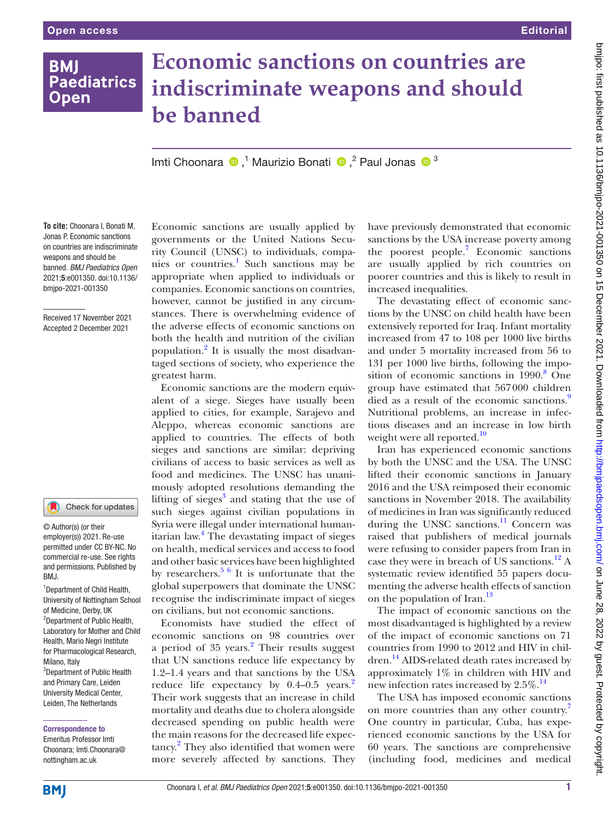## **BMI Paediatrics Open**

# **Economic sanctions on countries are indiscriminate weapons and should be banned**

ImtiChoonara  $\bullet$ ,<sup>1</sup> Maurizio Bonati  $\bullet$ ,<sup>2</sup> Paul Jonas  $\bullet$ <sup>3</sup>

**To cite:** Choonara I, Bonati M, Jonas P. Economic sanctions on countries are indiscriminate weapons and should be banned. *BMJ Paediatrics Open* 2021;5:e001350. doi:10.1136/ bmjpo-2021-001350

Received 17 November 2021 Accepted 2 December 2021

#### $\blacksquare$ Check for updates

© Author(s) (or their employer(s)) 2021. Re-use permitted under CC BY-NC. No commercial re-use. See rights and permissions. Published by BMJ.

1 Department of Child Health, University of Nottingham School of Medicine, Derby, UK <sup>2</sup>Department of Public Health, Laboratory for Mother and Child Health, Mario Negri Institute for Pharmacological Research, Milano, Italy 3 Department of Public Health and Primary Care, Leiden University Medical Center, Leiden, The Netherlands

#### Correspondence to

Emeritus Professor Imti Choonara; Imti.Choonara@ nottingham.ac.uk

Economic sanctions are usually applied by governments or the United Nations Security Council (UNSC) to individuals, companies or countries.<sup>1</sup> Such sanctions may be appropriate when applied to individuals or companies. Economic sanctions on countries, however, cannot be justified in any circumstances. There is overwhelming evidence of the adverse effects of economic sanctions on both the health and nutrition of the civilian population.<sup>2</sup> It is usually the most disadvantaged sections of society, who experience the greatest harm.

Economic sanctions are the modern equivalent of a siege. Sieges have usually been applied to cities, for example, Sarajevo and Aleppo, whereas economic sanctions are applied to countries. The effects of both sieges and sanctions are similar: depriving civilians of access to basic services as well as food and medicines. The UNSC has unanimously adopted resolutions demanding the lifting of sieges<sup>3</sup> and stating that the use of such sieges against civilian populations in Syria were illegal under international humanitarian law.<sup>4</sup> The devastating impact of sieges on health, medical services and access to food and other basic services have been highlighted by researchers. $56$  It is unfortunate that the global superpowers that dominate the UNSC recognise the indiscriminate impact of sieges on civilians, but not economic sanctions.

Economists have studied the effect of economic sanctions on 98 countries over a period of  $35$  years.<sup>[2](#page-1-1)</sup> Their results suggest that UN sanctions reduce life expectancy by 1.2–1.4 years and that sanctions by the USA reduce life expectancy by  $0.4-0.5$  years.<sup>2</sup> Their work suggests that an increase in child mortality and deaths due to cholera alongside decreased spending on public health were the main reasons for the decreased life expec-tancy.<sup>[2](#page-1-1)</sup> They also identified that women were more severely affected by sanctions. They

have previously demonstrated that economic sanctions by the USA increase poverty among the poorest people.<sup>[7](#page-1-2)</sup> Economic sanctions are usually applied by rich countries on poorer countries and this is likely to result in increased inequalities.

The devastating effect of economic sanctions by the UNSC on child health have been extensively reported for Iraq. Infant mortality increased from 47 to 108 per 1000 live births and under 5 mortality increased from 56 to 131 per 1000 live births, following the impo-sition of economic sanctions in 1990.<sup>[8](#page-1-3)</sup> One group have estimated that 567000 children died as a result of the economic sanctions.<sup>[9](#page-1-4)</sup> Nutritional problems, an increase in infectious diseases and an increase in low birth weight were all reported.<sup>[10](#page-1-5)</sup>

Iran has experienced economic sanctions by both the UNSC and the USA. The UNSC lifted their economic sanctions in January 2016 and the USA reimposed their economic sanctions in November 2018. The availability of medicines in Iran was significantly reduced during the UNSC sanctions.<sup>11</sup> Concern was raised that publishers of medical journals were refusing to consider papers from Iran in case they were in breach of US sanctions.<sup>12</sup> A systematic review identified 55 papers documenting the adverse health effects of sanction on the population of Iran.<sup>[13](#page-1-8)</sup>

The impact of economic sanctions on the most disadvantaged is highlighted by a review of the impact of economic sanctions on 71 countries from 1990 to 2012 and HIV in children.[14](#page-1-9) AIDS-related death rates increased by approximately 1% in children with HIV and new infection rates increased by  $2.5\%$ .<sup>[14](#page-1-9)</sup>

The USA has imposed economic sanctions on more countries than any other country.<sup>[7](#page-1-2)</sup> One country in particular, Cuba, has experienced economic sanctions by the USA for 60 years. The sanctions are comprehensive (including food, medicines and medical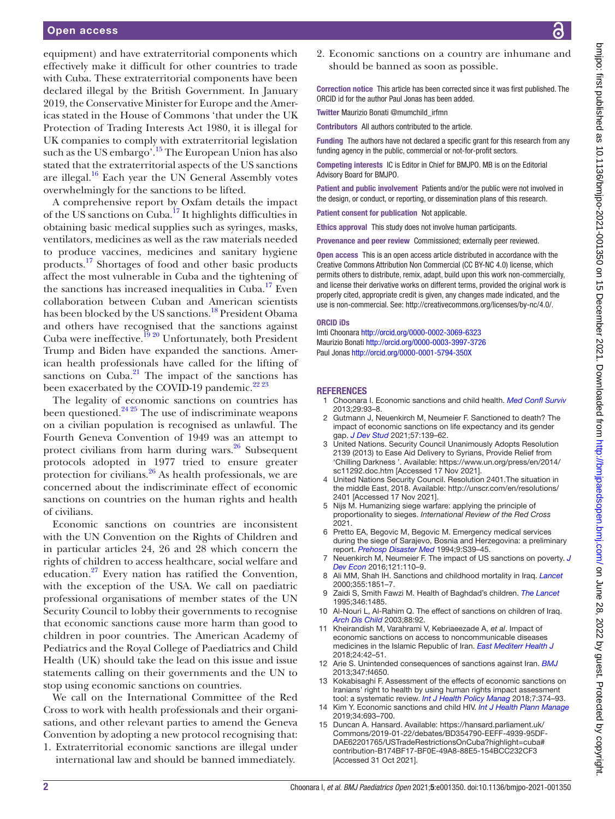### Open access

equipment) and have extraterritorial components which effectively make it difficult for other countries to trade with Cuba. These extraterritorial components have been declared illegal by the British Government. In January 2019, the Conservative Minister for Europe and the Americas stated in the House of Commons 'that under the UK Protection of Trading Interests Act 1980, it is illegal for UK companies to comply with extraterritorial legislation such as the US embargo'.[15](#page-1-10) The European Union has also stated that the extraterritorial aspects of the US sanctions are illegal. $16$  Each year the UN General Assembly votes overwhelmingly for the sanctions to be lifted.

A comprehensive report by Oxfam details the impact of the US sanctions on Cuba[.17](#page-2-1) It highlights difficulties in obtaining basic medical supplies such as syringes, masks, ventilators, medicines as well as the raw materials needed to produce vaccines, medicines and sanitary hygiene products[.17](#page-2-1) Shortages of food and other basic products affect the most vulnerable in Cuba and the tightening of the sanctions has increased inequalities in Cuba.<sup>17</sup> Even collaboration between Cuban and American scientists has been blocked by the US sanctions.<sup>18</sup> President Obama and others have recognised that the sanctions against Cuba were ineffective.<sup>19 20</sup> Unfortunately, both President Trump and Biden have expanded the sanctions. American health professionals have called for the lifting of sanctions on  $\widehat{\text{Cuba}}$ <sup>21</sup>. The impact of the sanctions has been exacerbated by the COVID-19 pandemic.<sup>[22 23](#page-2-5)</sup>

The legality of economic sanctions on countries has been questioned. $24\frac{24\frac{25}{2}}{2}$  The use of indiscriminate weapons on a civilian population is recognised as unlawful. The Fourth Geneva Convention of 1949 was an attempt to protect civilians from harm during wars. $26$  Subsequent protocols adopted in 1977 tried to ensure greater protection for civilians.  $26$  As health professionals, we are concerned about the indiscriminate effect of economic sanctions on countries on the human rights and health of civilians.

Economic sanctions on countries are inconsistent with the UN Convention on the Rights of Children and in particular articles 24, 26 and 28 which concern the rights of children to access healthcare, social welfare and education[.27](#page-2-8) Every nation has ratified the Convention, with the exception of the USA. We call on paediatric professional organisations of member states of the UN Security Council to lobby their governments to recognise that economic sanctions cause more harm than good to children in poor countries. The American Academy of Pediatrics and the Royal College of Paediatrics and Child Health (UK) should take the lead on this issue and issue statements calling on their governments and the UN to stop using economic sanctions on countries.

We call on the International Committee of the Red Cross to work with health professionals and their organisations, and other relevant parties to amend the Geneva Convention by adopting a new protocol recognising that:

1. Extraterritorial economic sanctions are illegal under international law and should be banned immediately.

2. Economic sanctions on a country are inhumane and should be banned as soon as possible.

Correction notice This article has been corrected since it was first published. The ORCID id for the author Paul Jonas has been added.

Twitter Maurizio Bonati [@mumchild\\_irfmn](https://twitter.com/mumchild_irfmn)

Contributors All authors contributed to the article.

Funding The authors have not declared a specific grant for this research from any funding agency in the public, commercial or not-for-profit sectors.

Competing interests IC is Editor in Chief for BMJPO. MB is on the Editorial Advisory Board for BMJPO.

Patient and public involvement Patients and/or the public were not involved in the design, or conduct, or reporting, or dissemination plans of this research.

Patient consent for publication Not applicable.

Ethics approval This study does not involve human participants.

Provenance and peer review Commissioned; externally peer reviewed.

Open access This is an open access article distributed in accordance with the Creative Commons Attribution Non Commercial (CC BY-NC 4.0) license, which permits others to distribute, remix, adapt, build upon this work non-commercially, and license their derivative works on different terms, provided the original work is properly cited, appropriate credit is given, any changes made indicated, and the use is non-commercial. See:<http://creativecommons.org/licenses/by-nc/4.0/>.

#### ORCID iDs

Imti Choonara <http://orcid.org/0000-0002-3069-6323> Maurizio Bonati <http://orcid.org/0000-0003-3997-3726> Paul Jonas <http://orcid.org/0000-0001-5794-350X>

#### **REFERENCES**

- 1 Choonara I. Economic sanctions and child health. *[Med Confl Surviv](http://dx.doi.org/10.1080/13623699.2012.739048)* 2013;29:93–8.
- <span id="page-1-1"></span>2 Gutmann J, Neuenkirch M, Neumeier F. Sanctioned to death? The impact of economic sanctions on life expectancy and its gender gap. *[J Dev Stud](http://dx.doi.org/10.1080/00220388.2020.1746277)* 2021;57:139–62.
- 3 United Nations. Security Council Unanimously Adopts Resolution 2139 (2013) to Ease Aid Delivery to Syrians, Provide Relief from 'Chilling Darkness '. Available: [https://www.un.org/press/en/2014/](https://www.un.org/press/en/2014/sc11292.doc.htm) [sc11292.doc.htm](https://www.un.org/press/en/2014/sc11292.doc.htm) [Accessed 17 Nov 2021].
- United Nations Security Council. Resolution 2401. The situation in the middle East, 2018. Available: [http://unscr.com/en/resolutions/](http://unscr.com/en/resolutions/2401) [2401](http://unscr.com/en/resolutions/2401) [Accessed 17 Nov 2021].
- <span id="page-1-0"></span>5 Nijs M. Humanizing siege warfare: applying the principle of proportionality to sieges. *International Review of the Red Cross* 2021.
- 6 Pretto EA, Begovic M, Begovic M. Emergency medical services during the siege of Sarajevo, Bosnia and Herzegovina: a preliminary report. *[Prehosp Disaster Med](http://dx.doi.org/10.1017/S1049023X00041170)* 1994;9:S39–45.
- <span id="page-1-2"></span>7 Neuenkirch M, Neumeier F. The impact of US sanctions on poverty. *[J](http://dx.doi.org/10.1016/j.jdeveco.2016.03.005) [Dev Econ](http://dx.doi.org/10.1016/j.jdeveco.2016.03.005)* 2016;121:110–9.
- <span id="page-1-3"></span>8 Ali MM, Shah IH. Sanctions and childhood mortality in Iraq. *[Lancet](http://dx.doi.org/10.1016/S0140-6736(00)02289-3)* 2000;355:1851–7.
- <span id="page-1-4"></span>9 Zaidi S, Smith Fawzi M. Health of Baghdad's children. *[The Lancet](http://dx.doi.org/10.1016/S0140-6736(95)92499-X)* 1995;346:1485.
- <span id="page-1-5"></span>10 Al-Nouri L, Al-Rahim Q. The effect of sanctions on children of Iraq. *[Arch Dis Child](http://dx.doi.org/10.1136/adc.88.1.92)* 2003;88:92.
- <span id="page-1-6"></span>11 Kheirandish M, Varahrami V, Kebriaeezade A, *et al*. Impact of economic sanctions on access to noncommunicable diseases medicines in the Islamic Republic of Iran. *[East Mediterr Health J](http://dx.doi.org/10.26719/2018.24.1.42)* 2018;24:42–51.
- <span id="page-1-7"></span>12 Arie S. Unintended consequences of sanctions against Iran. *[BMJ](http://dx.doi.org/10.1136/bmj.f4650)* 2013;347:f4650.
- <span id="page-1-8"></span>13 Kokabisaghi F. Assessment of the effects of economic sanctions on Iranians' right to health by using human rights impact assessment tool: a systematic review. *[Int J Health Policy Manag](http://dx.doi.org/10.15171/ijhpm.2017.147)* 2018;7:374–93.
- <span id="page-1-9"></span>14 Kim Y. Economic sanctions and child HIV. *[Int J Health Plann Manage](http://dx.doi.org/10.1002/hpm.2727)* 2019;34:693–700.
- <span id="page-1-10"></span>15 Duncan A. Hansard. Available: [https://hansard.parliament.uk/](https://hansard.parliament.uk/Commons/2019-01-22/debates/BD354790-EEFF-4939-95DF-DAE62201765/USTradeRestrictionsOnCuba?highlight=cuba#contribution-B174BF17-BF0E-49A8-88E5-154BCC232CF3) [Commons/2019-01-22/debates/BD354790-EEFF-4939-95DF-](https://hansard.parliament.uk/Commons/2019-01-22/debates/BD354790-EEFF-4939-95DF-DAE62201765/USTradeRestrictionsOnCuba?highlight=cuba#contribution-B174BF17-BF0E-49A8-88E5-154BCC232CF3)[DAE62201765/USTradeRestrictionsOnCuba?highlight=cuba#](https://hansard.parliament.uk/Commons/2019-01-22/debates/BD354790-EEFF-4939-95DF-DAE62201765/USTradeRestrictionsOnCuba?highlight=cuba#contribution-B174BF17-BF0E-49A8-88E5-154BCC232CF3) [contribution-B174BF17-BF0E-49A8-88E5-154BCC232CF3](https://hansard.parliament.uk/Commons/2019-01-22/debates/BD354790-EEFF-4939-95DF-DAE62201765/USTradeRestrictionsOnCuba?highlight=cuba#contribution-B174BF17-BF0E-49A8-88E5-154BCC232CF3)  [Accessed 31 Oct 2021].